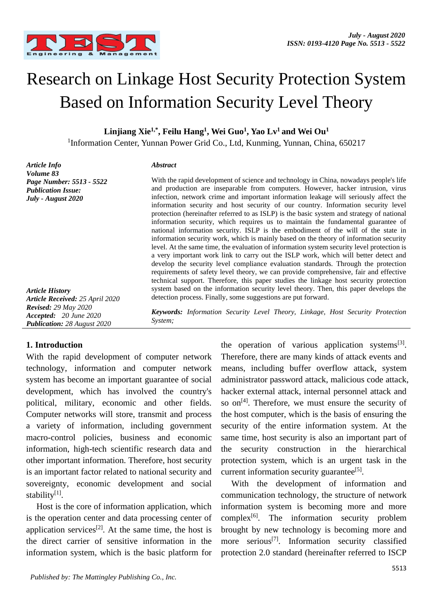

# Research on Linkage Host Security Protection System Based on Information Security Level Theory

**Linjiang Xie1,\*, Feilu Hang<sup>1</sup> , Wei Guo<sup>1</sup> , Yao Lv<sup>1</sup>and Wei Ou<sup>1</sup>**

<sup>1</sup>Information Center, Yunnan Power Grid Co., Ltd, Kunming, Yunnan, China, 650217

*Article Info Volume 83 Page Number: 5513 - 5522 Publication Issue: July - August 2020*

#### *Abstract*

*System;*

With the rapid development of science and technology in China, nowadays people's life and production are inseparable from computers. However, hacker intrusion, virus infection, network crime and important information leakage will seriously affect the information security and host security of our country. Information security level protection (hereinafter referred to as ISLP) is the basic system and strategy of national information security, which requires us to maintain the fundamental guarantee of national information security. ISLP is the embodiment of the will of the state in information security work, which is mainly based on the theory of information security level. At the same time, the evaluation of information system security level protection is a very important work link to carry out the ISLP work, which will better detect and develop the security level compliance evaluation standards. Through the protection requirements of safety level theory, we can provide comprehensive, fair and effective technical support. Therefore, this paper studies the linkage host security protection system based on the information security level theory. Then, this paper develops the detection process. Finally, some suggestions are put forward.

*Keywords: Information Security Level Theory, Linkage, Host Security Protection* 

*Article History Article Received: 25 April 2020 Revised: 29 May 2020 Accepted: 20 June 2020 Publication: 28 August 2020*

# **1. Introduction**

With the rapid development of computer network technology, information and computer network system has become an important guarantee of social development, which has involved the country's political, military, economic and other fields. Computer networks will store, transmit and process a variety of information, including government macro-control policies, business and economic information, high-tech scientific research data and other important information. Therefore, host security is an important factor related to national security and sovereignty, economic development and social stability<sup>[1]</sup>.

Host is the core of information application, which is the operation center and data processing center of application services<sup>[2]</sup>. At the same time, the host is the direct carrier of sensitive information in the information system, which is the basic platform for

the operation of various application systems<sup>[3]</sup>. Therefore, there are many kinds of attack events and means, including buffer overflow attack, system administrator password attack, malicious code attack, hacker external attack, internal personnel attack and so on<sup>[4]</sup>. Therefore, we must ensure the security of the host computer, which is the basis of ensuring the security of the entire information system. At the same time, host security is also an important part of the security construction in the hierarchical protection system, which is an urgent task in the current information security guarantee<sup>[5]</sup>.

With the development of information and communication technology, the structure of network information system is becoming more and more complex $[6]$ . The information security problem brought by new technology is becoming more and more serious<sup>[7]</sup>. Information security classified protection 2.0 standard (hereinafter referred to ISCP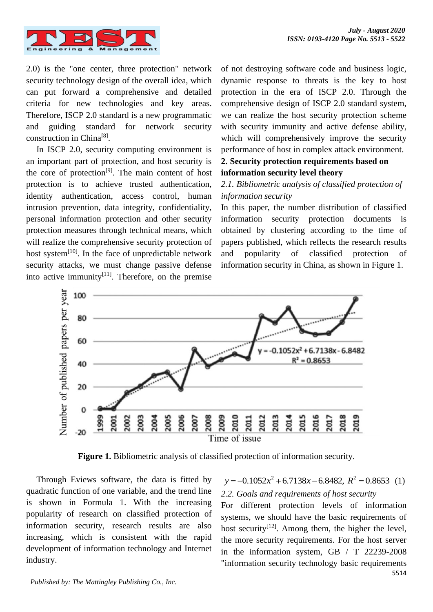

2.0) is the "one center, three protection" network security technology design of the overall idea, which can put forward a comprehensive and detailed criteria for new technologies and key areas. Therefore, ISCP 2.0 standard is a new programmatic and guiding standard for network security construction in China<sup>[8]</sup>.

In ISCP 2.0, security computing environment is an important part of protection, and host security is the core of protection<sup>[9]</sup>. The main content of host protection is to achieve trusted authentication, identity authentication, access control, human intrusion prevention, data integrity, confidentiality, personal information protection and other security protection measures through technical means, which will realize the comprehensive security protection of host system $^{[10]}$ . In the face of unpredictable network security attacks, we must change passive defense into active immunity $[11]$ . Therefore, on the premise

of not destroying software code and business logic, dynamic response to threats is the key to host protection in the era of ISCP 2.0. Through the comprehensive design of ISCP 2.0 standard system, we can realize the host security protection scheme with security immunity and active defense ability, which will comprehensively improve the security performance of host in complex attack environment.

# **2. Security protection requirements based on information security level theory**

# *2.1. Bibliometric analysis of classified protection of information security*

In this paper, the number distribution of classified information security protection documents is obtained by clustering according to the time of papers published, which reflects the research results and popularity of classified protection of information security in China, as shown in Figure 1.



**Figure 1.** Bibliometric analysis of classified protection of information security.

Through Eviews software, the data is fitted by quadratic function of one variable, and the trend line is shown in Formula 1. With the increasing popularity of research on classified protection of information security, research results are also increasing, which is consistent with the rapid development of information technology and Internet industry.

 $y = -0.1052x^2 + 6.7138x - 6.8482$ ,  $R^2 = 0.8653$  (1) *2.2. Goals and requirements of host security*

5514 For different protection levels of information systems, we should have the basic requirements of host security<sup>[12]</sup>. Among them, the higher the level, the more security requirements. For the host server in the information system, GB / T 22239-2008 "information security technology basic requirements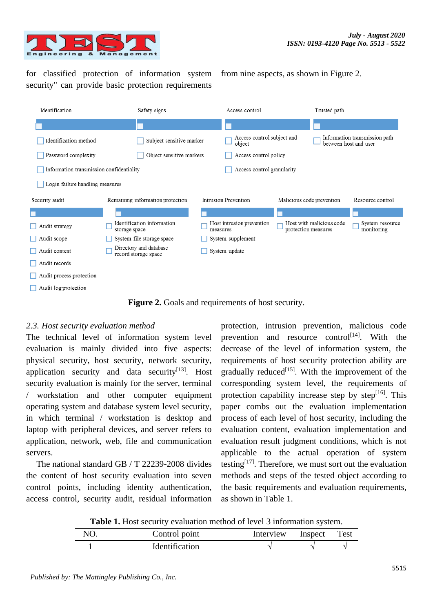

for classified protection of information system security" can provide basic protection requirements

from nine aspects, as shown in Figure 2.



Figure 2. Goals and requirements of host security.

# *2.3. Host security evaluation method*

The technical level of information system level evaluation is mainly divided into five aspects: physical security, host security, network security, application security and data security<sup>[13]</sup>. Host security evaluation is mainly for the server, terminal / workstation and other computer equipment operating system and database system level security, in which terminal / workstation is desktop and laptop with peripheral devices, and server refers to application, network, web, file and communication servers.

The national standard GB / T 22239-2008 divides the content of host security evaluation into seven control points, including identity authentication, access control, security audit, residual information

protection, intrusion prevention, malicious code prevention and resource control<sup>[14]</sup>. With the decrease of the level of information system, the requirements of host security protection ability are gradually reduced $[15]$ . With the improvement of the corresponding system level, the requirements of protection capability increase step by step $[16]$ . This paper combs out the evaluation implementation process of each level of host security, including the evaluation content, evaluation implementation and evaluation result judgment conditions, which is not applicable to the actual operation of system testing $[17]$ . Therefore, we must sort out the evaluation methods and steps of the tested object according to the basic requirements and evaluation requirements, as shown in Table 1.

**Table 1.** Host security evaluation method of level 3 information system.

| NO. | Control point         | Interview Inspect | <b>Test</b> |
|-----|-----------------------|-------------------|-------------|
|     | <b>Identification</b> |                   |             |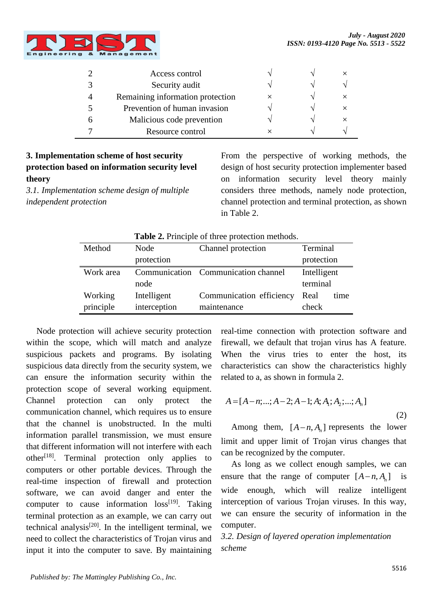

|   | Access control                   |  |          |
|---|----------------------------------|--|----------|
|   | Security audit                   |  |          |
|   | Remaining information protection |  | $\times$ |
|   | Prevention of human invasion     |  | $\times$ |
| n | Malicious code prevention        |  | $\times$ |
|   | Resource control                 |  |          |

# **3. Implementation scheme of host security protection based on information security level theory**

*3.1. Implementation scheme design of multiple independent protection*

From the perspective of working methods, the design of host security protection implementer based on information security level theory mainly considers three methods, namely node protection, channel protection and terminal protection, as shown in Table 2.

**Table 2.** Principle of three protection methods.

| Method    | Node         | Channel protection                  | Terminal     |  |
|-----------|--------------|-------------------------------------|--------------|--|
|           | protection   |                                     | protection   |  |
| Work area |              | Communication Communication channel | Intelligent  |  |
|           | node         |                                     | terminal     |  |
| Working   | Intelligent  | Communication efficiency            | Real<br>time |  |
| principle | interception | maintenance                         | check        |  |

Node protection will achieve security protection within the scope, which will match and analyze suspicious packets and programs. By isolating suspicious data directly from the security system, we can ensure the information security within the protection scope of several working equipment. Channel protection can only protect the communication channel, which requires us to ensure that the channel is unobstructed. In the multi information parallel transmission, we must ensure that different information will not interfere with each  $other<sup>[18]</sup>$ . Terminal protection only applies to computers or other portable devices. Through the real-time inspection of firewall and protection software, we can avoid danger and enter the computer to cause information  $loss^{[19]}$ . Taking terminal protection as an example, we can carry out technical analysis<sup>[20]</sup>. In the intelligent terminal, we need to collect the characteristics of Trojan virus and input it into the computer to save. By maintaining real-time connection with protection software and firewall, we default that trojan virus has A feature. When the virus tries to enter the host, its characteristics can show the characteristics highly related to a, as shown in formula 2.

$$
A = [A - n; ...; A - 2; A - 1; A; A1; A2; ...; An]
$$
\n(2)

Among them,  $[A - n, A_n]$  represents the lower limit and upper limit of Trojan virus changes that can be recognized by the computer.

As long as we collect enough samples, we can ensure that the range of computer  $[A - n, A_n]$  is wide enough, which will realize intelligent interception of various Trojan viruses. In this way, we can ensure the security of information in the computer.

*3.2. Design of layered operation implementation scheme*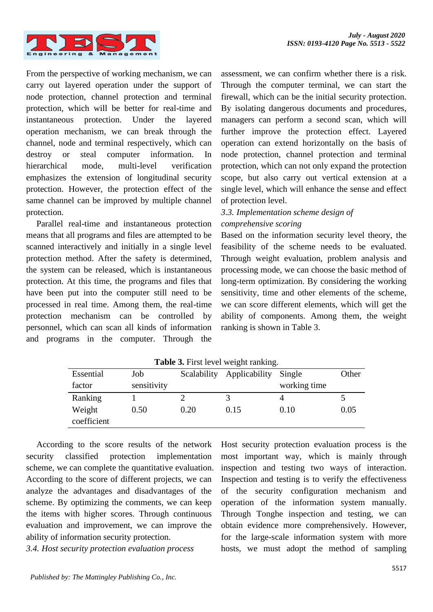

From the perspective of working mechanism, we can carry out layered operation under the support of node protection, channel protection and terminal protection, which will be better for real-time and instantaneous protection. Under the layered operation mechanism, we can break through the channel, node and terminal respectively, which can destroy or steal computer information. In hierarchical mode, multi-level verification emphasizes the extension of longitudinal security protection. However, the protection effect of the same channel can be improved by multiple channel protection.

Parallel real-time and instantaneous protection means that all programs and files are attempted to be scanned interactively and initially in a single level protection method. After the safety is determined, the system can be released, which is instantaneous protection. At this time, the programs and files that have been put into the computer still need to be processed in real time. Among them, the real-time protection mechanism can be controlled by personnel, which can scan all kinds of information and programs in the computer. Through the

assessment, we can confirm whether there is a risk. Through the computer terminal, we can start the firewall, which can be the initial security protection. By isolating dangerous documents and procedures, managers can perform a second scan, which will further improve the protection effect. Layered operation can extend horizontally on the basis of node protection, channel protection and terminal protection, which can not only expand the protection scope, but also carry out vertical extension at a single level, which will enhance the sense and effect of protection level.

# *3.3. Implementation scheme design of comprehensive scoring*

Based on the information security level theory, the feasibility of the scheme needs to be evaluated. Through weight evaluation, problem analysis and processing mode, we can choose the basic method of long-term optimization. By considering the working sensitivity, time and other elements of the scheme, we can score different elements, which will get the ability of components. Among them, the weight ranking is shown in Table 3.

| <b>Table 3.</b> First level weight failking. |             |             |               |              |       |
|----------------------------------------------|-------------|-------------|---------------|--------------|-------|
| Essential                                    | Job         | Scalability | Applicability | Single       | Other |
| factor                                       | sensitivity |             |               | working time |       |
| Ranking                                      |             |             |               |              |       |
| Weight                                       | 0.50        | 0.20        | 0.15          | 0.10         | 0.05  |
| coefficient                                  |             |             |               |              |       |

**Table 3.** First level weight ranking.

According to the score results of the network security classified protection implementation scheme, we can complete the quantitative evaluation. According to the score of different projects, we can analyze the advantages and disadvantages of the scheme. By optimizing the comments, we can keep the items with higher scores. Through continuous evaluation and improvement, we can improve the ability of information security protection.

*3.4. Host security protection evaluation process*

Host security protection evaluation process is the most important way, which is mainly through inspection and testing two ways of interaction. Inspection and testing is to verify the effectiveness of the security configuration mechanism and operation of the information system manually. Through Tonghe inspection and testing, we can obtain evidence more comprehensively. However, for the large-scale information system with more hosts, we must adopt the method of sampling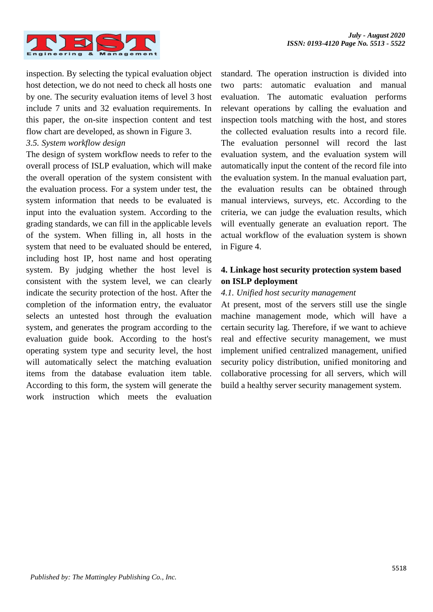

inspection. By selecting the typical evaluation object host detection, we do not need to check all hosts one by one. The security evaluation items of level 3 host include 7 units and 32 evaluation requirements. In this paper, the on-site inspection content and test flow chart are developed, as shown in Figure 3.

#### *3.5. System workflow design*

The design of system workflow needs to refer to the overall process of ISLP evaluation, which will make the overall operation of the system consistent with the evaluation process. For a system under test, the system information that needs to be evaluated is input into the evaluation system. According to the grading standards, we can fill in the applicable levels of the system. When filling in, all hosts in the system that need to be evaluated should be entered, including host IP, host name and host operating system. By judging whether the host level is consistent with the system level, we can clearly indicate the security protection of the host. After the completion of the information entry, the evaluator selects an untested host through the evaluation system, and generates the program according to the evaluation guide book. According to the host's operating system type and security level, the host will automatically select the matching evaluation items from the database evaluation item table. According to this form, the system will generate the work instruction which meets the evaluation

standard. The operation instruction is divided into two parts: automatic evaluation and manual evaluation. The automatic evaluation performs relevant operations by calling the evaluation and inspection tools matching with the host, and stores the collected evaluation results into a record file. The evaluation personnel will record the last evaluation system, and the evaluation system will automatically input the content of the record file into the evaluation system. In the manual evaluation part, the evaluation results can be obtained through manual interviews, surveys, etc. According to the criteria, we can judge the evaluation results, which will eventually generate an evaluation report. The actual workflow of the evaluation system is shown in Figure 4.

# **4. Linkage host security protection system based on ISLP deployment**

#### *4.1. Unified host security management*

At present, most of the servers still use the single machine management mode, which will have a certain security lag. Therefore, if we want to achieve real and effective security management, we must implement unified centralized management, unified security policy distribution, unified monitoring and collaborative processing for all servers, which will build a healthy server security management system.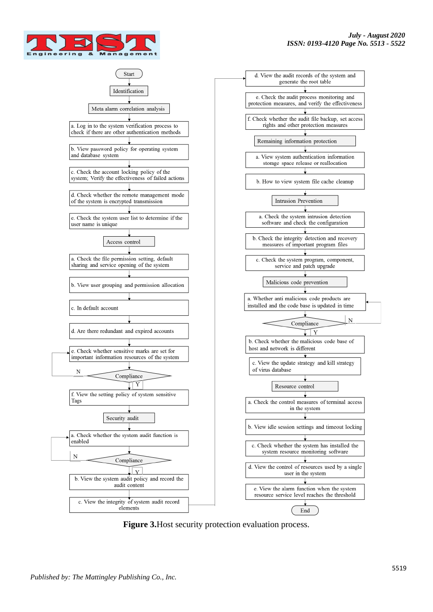



**Figure 3.**Host security protection evaluation process.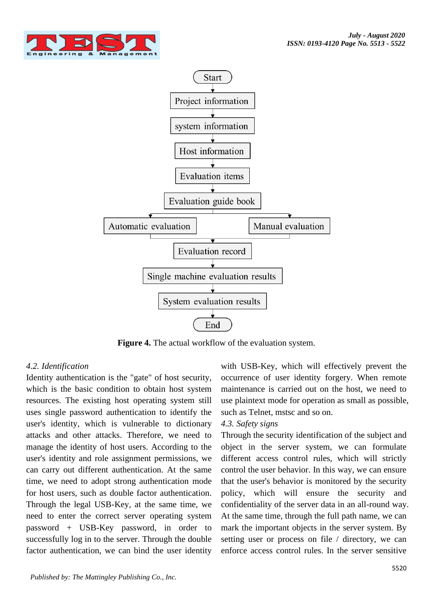



**Figure 4.** The actual workflow of the evaluation system.

# *4.2. Identification*

Identity authentication is the "gate" of host security, which is the basic condition to obtain host system resources. The existing host operating system still uses single password authentication to identify the user's identity, which is vulnerable to dictionary attacks and other attacks. Therefore, we need to manage the identity of host users. According to the user's identity and role assignment permissions, we can carry out different authentication. At the same time, we need to adopt strong authentication mode for host users, such as double factor authentication. Through the legal USB-Key, at the same time, we need to enter the correct server operating system password + USB-Key password, in order to successfully log in to the server. Through the double factor authentication, we can bind the user identity

with USB-Key, which will effectively prevent the occurrence of user identity forgery. When remote maintenance is carried out on the host, we need to use plaintext mode for operation as small as possible, such as Telnet, mstsc and so on.

#### *4.3. Safety signs*

Through the security identification of the subject and object in the server system, we can formulate different access control rules, which will strictly control the user behavior. In this way, we can ensure that the user's behavior is monitored by the security policy, which will ensure the security and confidentiality of the server data in an all-round way. At the same time, through the full path name, we can mark the important objects in the server system. By setting user or process on file / directory, we can enforce access control rules. In the server sensitive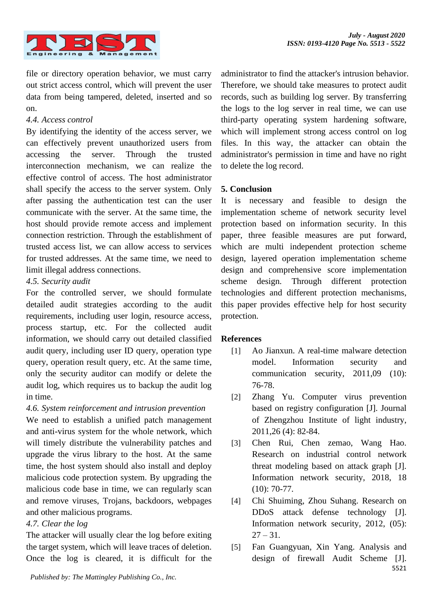

file or directory operation behavior, we must carry out strict access control, which will prevent the user data from being tampered, deleted, inserted and so on.

#### *4.4. Access control*

By identifying the identity of the access server, we can effectively prevent unauthorized users from accessing the server. Through the trusted interconnection mechanism, we can realize the effective control of access. The host administrator shall specify the access to the server system. Only after passing the authentication test can the user communicate with the server. At the same time, the host should provide remote access and implement connection restriction. Through the establishment of trusted access list, we can allow access to services for trusted addresses. At the same time, we need to limit illegal address connections.

# *4.5. Security audit*

For the controlled server, we should formulate detailed audit strategies according to the audit requirements, including user login, resource access, process startup, etc. For the collected audit information, we should carry out detailed classified audit query, including user ID query, operation type query, operation result query, etc. At the same time, only the security auditor can modify or delete the audit log, which requires us to backup the audit log in time.

# *4.6. System reinforcement and intrusion prevention*

We need to establish a unified patch management and anti-virus system for the whole network, which will timely distribute the vulnerability patches and upgrade the virus library to the host. At the same time, the host system should also install and deploy malicious code protection system. By upgrading the malicious code base in time, we can regularly scan and remove viruses, Trojans, backdoors, webpages and other malicious programs.

# *4.7. Clear the log*

The attacker will usually clear the log before exiting the target system, which will leave traces of deletion. Once the log is cleared, it is difficult for the administrator to find the attacker's intrusion behavior. Therefore, we should take measures to protect audit records, such as building log server. By transferring the logs to the log server in real time, we can use third-party operating system hardening software, which will implement strong access control on  $log$ files. In this way, the attacker can obtain the administrator's permission in time and have no right to delete the log record.

# **5. Conclusion**

It is necessary and feasible to design the implementation scheme of network security level protection based on information security. In this paper, three feasible measures are put forward, which are multi independent protection scheme design, layered operation implementation scheme design and comprehensive score implementation scheme design. Through different protection technologies and different protection mechanisms, this paper provides effective help for host security protection.

# **References**

- [1] Ao Jianxun. A real-time malware detection model. Information security and communication security, 2011,09 (10): 76-78.
- [2] Zhang Yu. Computer virus prevention based on registry configuration [J]. Journal of Zhengzhou Institute of light industry, 2011,26 (4): 82-84.
- [3] Chen Rui, Chen zemao, Wang Hao. Research on industrial control network threat modeling based on attack graph [J]. Information network security, 2018, 18 (10): 70-77.
- [4] Chi Shuiming, Zhou Suhang. Research on DDoS attack defense technology [J]. Information network security, 2012, (05):  $27 - 31$ .
- 5521 [5] Fan Guangyuan, Xin Yang. Analysis and design of firewall Audit Scheme [J].